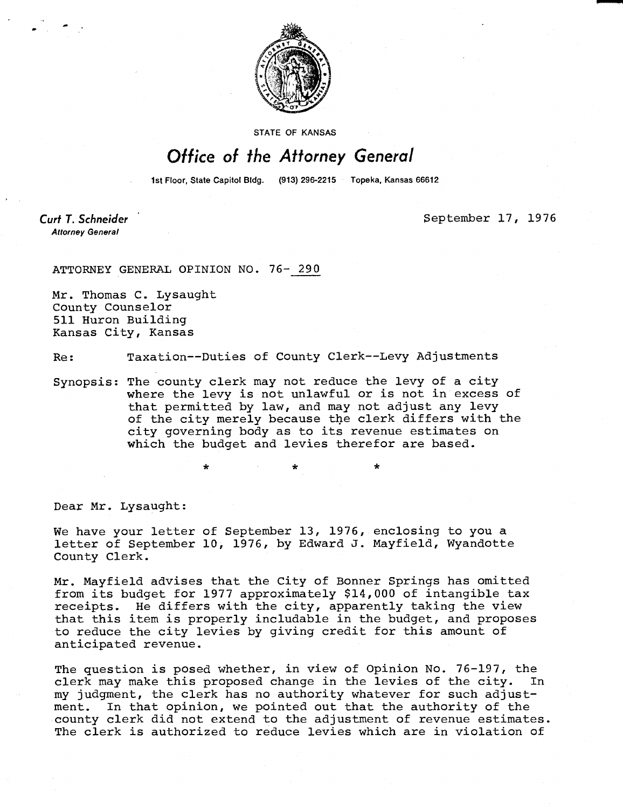

**STATE OF KANSAS** 

## Office of the Attorney General

1st Floor, State Capitol Bldg. (913) 296-2215 Topeka, Kansas 66612

**Curt T. Schneider Attorney General** 

September 17, 1976

ATTORNEY GENERAL OPINION NO. 76- 290

Mr. Thomas C. Lysaught County Counselor 511 Huron Building Kansas City, Kansas

Re: Taxation--Duties of County Clerk--Levy Adjustments

Synopsis: The county clerk may not reduce the levy of a city where the levy is not unlawful or is not in excess of that permitted by law, and may not adjust any levy of the city merely because the clerk differs with the city governing body as to its revenue estimates on which the budget and levies therefor are based.

\*

Dear Mr. Lysaught:

We have your letter of September 13, 1976, enclosing to you a letter of September 10, 1976, by Edward J. Mayfield, Wyandotte County Clerk.

Mr. Mayfield advises that the City of Bonner Springs has omitted from its budget for 1977 approximately \$14,000 of intangible tax receipts. He differs with the city, apparently taking the view that this item is properly includable in the budget, and proposes to reduce the city levies by giving credit for this amount of anticipated revenue.

The question is posed whether, in view of Opinion No. 76-197, the clerk may make this proposed change in the levies of the city. In my judgment, the clerk has no authority whatever for such adjustment. In that opinion, we pointed out that the authority of the county clerk did not extend to the adjustment of revenue estimates. The clerk is authorized to reduce levies which are in violation of